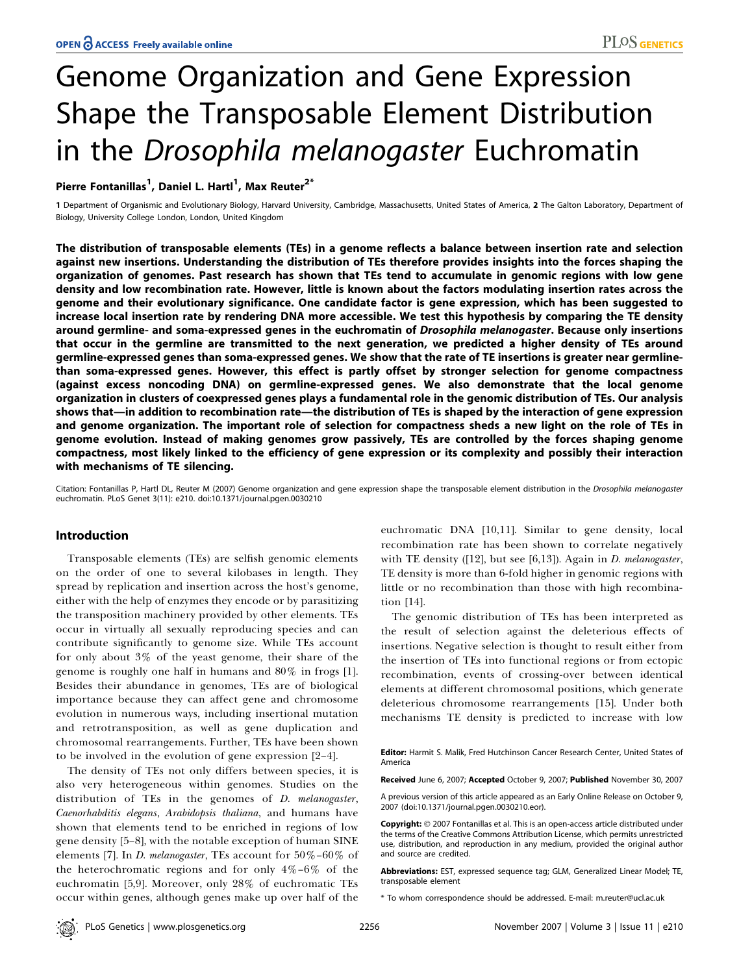# Genome Organization and Gene Expression Shape the Transposable Element Distribution in the Drosophila melanogaster Euchromatin

Pierre Fontanillas $^1$ , Daniel L. Hartl $^1$ , Max Reuter $^{2^\ast}$ 

1 Department of Organismic and Evolutionary Biology, Harvard University, Cambridge, Massachusetts, United States of America, 2 The Galton Laboratory, Department of Biology, University College London, London, United Kingdom

The distribution of transposable elements (TEs) in a genome reflects a balance between insertion rate and selection against new insertions. Understanding the distribution of TEs therefore provides insights into the forces shaping the organization of genomes. Past research has shown that TEs tend to accumulate in genomic regions with low gene density and low recombination rate. However, little is known about the factors modulating insertion rates across the genome and their evolutionary significance. One candidate factor is gene expression, which has been suggested to increase local insertion rate by rendering DNA more accessible. We test this hypothesis by comparing the TE density around germline- and soma-expressed genes in the euchromatin of Drosophila melanogaster. Because only insertions that occur in the germline are transmitted to the next generation, we predicted a higher density of TEs around germline-expressed genes than soma-expressed genes. We show that the rate of TE insertions is greater near germlinethan soma-expressed genes. However, this effect is partly offset by stronger selection for genome compactness (against excess noncoding DNA) on germline-expressed genes. We also demonstrate that the local genome organization in clusters of coexpressed genes plays a fundamental role in the genomic distribution of TEs. Our analysis shows that—in addition to recombination rate—the distribution of TEs is shaped by the interaction of gene expression and genome organization. The important role of selection for compactness sheds a new light on the role of TEs in genome evolution. Instead of making genomes grow passively, TEs are controlled by the forces shaping genome compactness, most likely linked to the efficiency of gene expression or its complexity and possibly their interaction with mechanisms of TE silencing.

Citation: Fontanillas P, Hartl DL, Reuter M (2007) Genome organization and gene expression shape the transposable element distribution in the Drosophila melanogaster euchromatin. PLoS Genet 3(11): e210. doi:10.1371/journal.pgen.0030210

# Introduction

Transposable elements (TEs) are selfish genomic elements on the order of one to several kilobases in length. They spread by replication and insertion across the host's genome, either with the help of enzymes they encode or by parasitizing the transposition machinery provided by other elements. TEs occur in virtually all sexually reproducing species and can contribute significantly to genome size. While TEs account for only about 3% of the yeast genome, their share of the genome is roughly one half in humans and 80% in frogs [1]. Besides their abundance in genomes, TEs are of biological importance because they can affect gene and chromosome evolution in numerous ways, including insertional mutation and retrotransposition, as well as gene duplication and chromosomal rearrangements. Further, TEs have been shown to be involved in the evolution of gene expression [2–4].

The density of TEs not only differs between species, it is also very heterogeneous within genomes. Studies on the distribution of TEs in the genomes of D. melanogaster, Caenorhabditis elegans, Arabidopsis thaliana, and humans have shown that elements tend to be enriched in regions of low gene density [5–8], with the notable exception of human SINE elements [7]. In D. melanogaster, TEs account for 50%–60% of the heterochromatic regions and for only  $4\% - 6\%$  of the euchromatin [5,9]. Moreover, only 28% of euchromatic TEs occur within genes, although genes make up over half of the

euchromatic DNA [10,11]. Similar to gene density, local recombination rate has been shown to correlate negatively with TE density ([12], but see [6,13]). Again in D. melanogaster, TE density is more than 6-fold higher in genomic regions with little or no recombination than those with high recombination [14].

The genomic distribution of TEs has been interpreted as the result of selection against the deleterious effects of insertions. Negative selection is thought to result either from the insertion of TEs into functional regions or from ectopic recombination, events of crossing-over between identical elements at different chromosomal positions, which generate deleterious chromosome rearrangements [15]. Under both mechanisms TE density is predicted to increase with low

Editor: Harmit S. Malik, Fred Hutchinson Cancer Research Center, United States of America

Received June 6, 2007; Accepted October 9, 2007; Published November 30, 2007

A previous version of this article appeared as an Early Online Release on October 9, 2007 (doi:10.1371/journal.pgen.0030210.eor).

Copyright: © 2007 Fontanillas et al. This is an open-access article distributed under the terms of the Creative Commons Attribution License, which permits unrestricted use, distribution, and reproduction in any medium, provided the original author and source are credited.

Abbreviations: EST, expressed sequence tag; GLM, Generalized Linear Model; TE, transposable element

\* To whom correspondence should be addressed. E-mail: m.reuter@ucl.ac.uk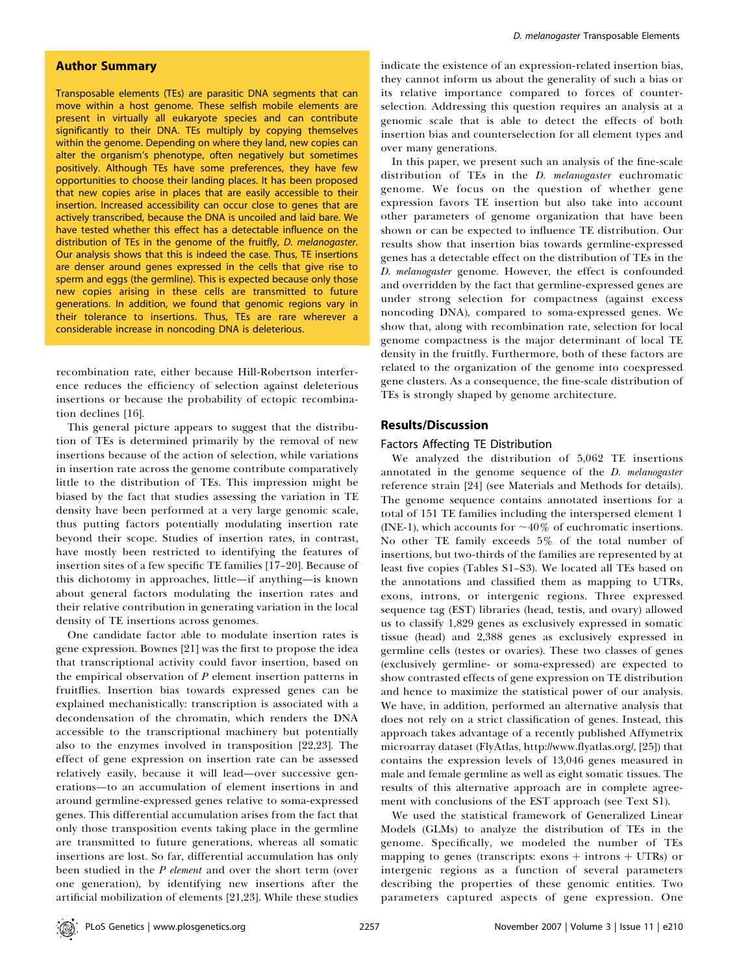# Author Summary

Transposable elements (TEs) are parasitic DNA segments that can move within a host genome. These selfish mobile elements are present in virtually all eukaryote species and can contribute significantly to their DNA. TEs multiply by copying themselves within the genome. Depending on where they land, new copies can alter the organism's phenotype, often negatively but sometimes positively. Although TEs have some preferences, they have few opportunities to choose their landing places. It has been proposed that new copies arise in places that are easily accessible to their insertion. Increased accessibility can occur close to genes that are actively transcribed, because the DNA is uncoiled and laid bare. We have tested whether this effect has a detectable influence on the distribution of TEs in the genome of the fruitfly, D. melanogaster. Our analysis shows that this is indeed the case. Thus, TE insertions are denser around genes expressed in the cells that give rise to sperm and eggs (the germline). This is expected because only those new copies arising in these cells are transmitted to future generations. In addition, we found that genomic regions vary in their tolerance to insertions. Thus, TEs are rare wherever a considerable increase in noncoding DNA is deleterious.

recombination rate, either because Hill-Robertson interference reduces the efficiency of selection against deleterious insertions or because the probability of ectopic recombination declines [16].

This general picture appears to suggest that the distribution of TEs is determined primarily by the removal of new insertions because of the action of selection, while variations in insertion rate across the genome contribute comparatively little to the distribution of TEs. This impression might be biased by the fact that studies assessing the variation in TE density have been performed at a very large genomic scale, thus putting factors potentially modulating insertion rate beyond their scope. Studies of insertion rates, in contrast, have mostly been restricted to identifying the features of insertion sites of a few specific TE families [17–20]. Because of this dichotomy in approaches, little—if anything—is known about general factors modulating the insertion rates and their relative contribution in generating variation in the local density of TE insertions across genomes.

One candidate factor able to modulate insertion rates is gene expression. Bownes [21] was the first to propose the idea that transcriptional activity could favor insertion, based on the empirical observation of  $P$  element insertion patterns in fruitflies. Insertion bias towards expressed genes can be explained mechanistically: transcription is associated with a decondensation of the chromatin, which renders the DNA accessible to the transcriptional machinery but potentially also to the enzymes involved in transposition [22,23]. The effect of gene expression on insertion rate can be assessed relatively easily, because it will lead—over successive generations—to an accumulation of element insertions in and around germline-expressed genes relative to soma-expressed genes. This differential accumulation arises from the fact that only those transposition events taking place in the germline are transmitted to future generations, whereas all somatic insertions are lost. So far, differential accumulation has only been studied in the *P* element and over the short term (over one generation), by identifying new insertions after the artificial mobilization of elements [21,23]. While these studies

indicate the existence of an expression-related insertion bias, they cannot inform us about the generality of such a bias or its relative importance compared to forces of counterselection. Addressing this question requires an analysis at a genomic scale that is able to detect the effects of both insertion bias and counterselection for all element types and over many generations.

In this paper, we present such an analysis of the fine-scale distribution of TEs in the D. melanogaster euchromatic genome. We focus on the question of whether gene expression favors TE insertion but also take into account other parameters of genome organization that have been shown or can be expected to influence TE distribution. Our results show that insertion bias towards germline-expressed genes has a detectable effect on the distribution of TEs in the D. melanogaster genome. However, the effect is confounded and overridden by the fact that germline-expressed genes are under strong selection for compactness (against excess noncoding DNA), compared to soma-expressed genes. We show that, along with recombination rate, selection for local genome compactness is the major determinant of local TE density in the fruitfly. Furthermore, both of these factors are related to the organization of the genome into coexpressed gene clusters. As a consequence, the fine-scale distribution of TEs is strongly shaped by genome architecture.

# Results/Discussion

#### Factors Affecting TE Distribution

We analyzed the distribution of 5,062 TE insertions annotated in the genome sequence of the D. melanogaster reference strain [24] (see Materials and Methods for details). The genome sequence contains annotated insertions for a total of 151 TE families including the interspersed element 1 (INE-1), which accounts for  $\sim$  40% of euchromatic insertions. No other TE family exceeds 5% of the total number of insertions, but two-thirds of the families are represented by at least five copies (Tables S1–S3). We located all TEs based on the annotations and classified them as mapping to UTRs, exons, introns, or intergenic regions. Three expressed sequence tag (EST) libraries (head, testis, and ovary) allowed us to classify 1,829 genes as exclusively expressed in somatic tissue (head) and 2,388 genes as exclusively expressed in germline cells (testes or ovaries). These two classes of genes (exclusively germline- or soma-expressed) are expected to show contrasted effects of gene expression on TE distribution and hence to maximize the statistical power of our analysis. We have, in addition, performed an alternative analysis that does not rely on a strict classification of genes. Instead, this approach takes advantage of a recently published Affymetrix microarray dataset (FlyAtlas, http://www.flyatlas.org/, [25]) that contains the expression levels of 13,046 genes measured in male and female germline as well as eight somatic tissues. The results of this alternative approach are in complete agreement with conclusions of the EST approach (see Text S1).

We used the statistical framework of Generalized Linear Models (GLMs) to analyze the distribution of TEs in the genome. Specifically, we modeled the number of TEs mapping to genes (transcripts: exons  $+$  introns  $+$  UTRs) or intergenic regions as a function of several parameters describing the properties of these genomic entities. Two parameters captured aspects of gene expression. One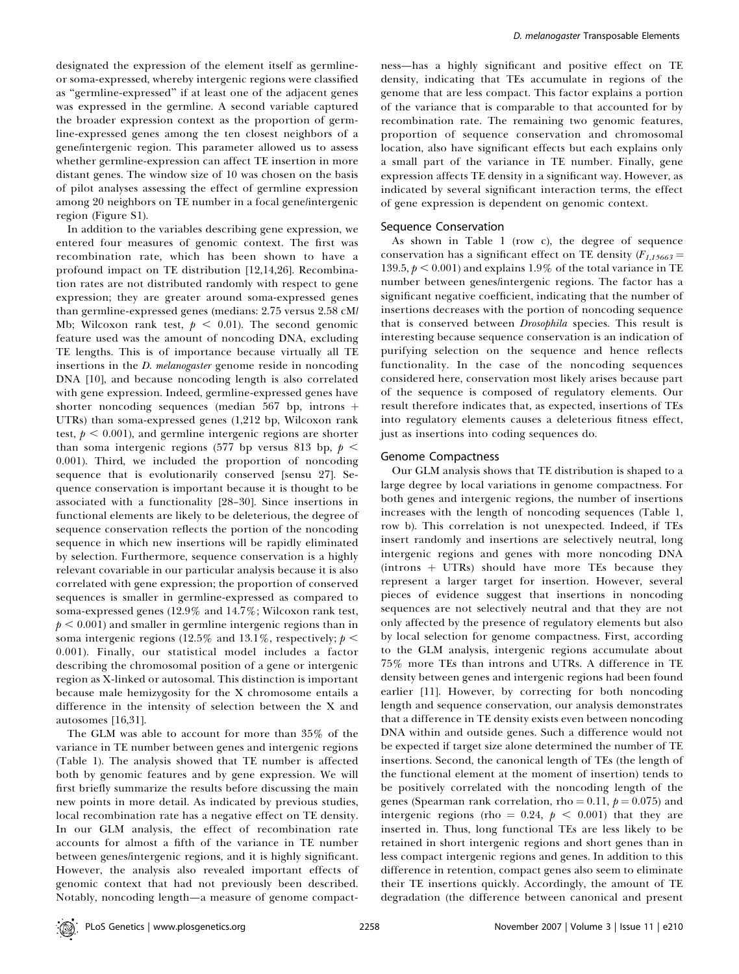designated the expression of the element itself as germlineor soma-expressed, whereby intergenic regions were classified as ''germline-expressed'' if at least one of the adjacent genes was expressed in the germline. A second variable captured the broader expression context as the proportion of germline-expressed genes among the ten closest neighbors of a gene/intergenic region. This parameter allowed us to assess whether germline-expression can affect TE insertion in more distant genes. The window size of 10 was chosen on the basis of pilot analyses assessing the effect of germline expression among 20 neighbors on TE number in a focal gene/intergenic region (Figure S1).

In addition to the variables describing gene expression, we entered four measures of genomic context. The first was recombination rate, which has been shown to have a profound impact on TE distribution [12,14,26]. Recombination rates are not distributed randomly with respect to gene expression; they are greater around soma-expressed genes than germline-expressed genes (medians: 2.75 versus 2.58 cM/ Mb; Wilcoxon rank test,  $p < 0.01$ ). The second genomic feature used was the amount of noncoding DNA, excluding TE lengths. This is of importance because virtually all TE insertions in the *D. melanogaster* genome reside in noncoding DNA [10], and because noncoding length is also correlated with gene expression. Indeed, germline-expressed genes have shorter noncoding sequences (median 567 bp, introns  $+$ UTRs) than soma-expressed genes (1,212 bp, Wilcoxon rank test,  $p < 0.001$ ), and germline intergenic regions are shorter than soma intergenic regions (577 bp versus 813 bp,  $p <$ 0.001). Third, we included the proportion of noncoding sequence that is evolutionarily conserved [sensu 27]. Sequence conservation is important because it is thought to be associated with a functionality [28–30]. Since insertions in functional elements are likely to be deleterious, the degree of sequence conservation reflects the portion of the noncoding sequence in which new insertions will be rapidly eliminated by selection. Furthermore, sequence conservation is a highly relevant covariable in our particular analysis because it is also correlated with gene expression; the proportion of conserved sequences is smaller in germline-expressed as compared to soma-expressed genes (12.9% and 14.7%; Wilcoxon rank test,  $p < 0.001$  and smaller in germline intergenic regions than in soma intergenic regions (12.5% and 13.1%, respectively;  $p <$ 0.001). Finally, our statistical model includes a factor describing the chromosomal position of a gene or intergenic region as X-linked or autosomal. This distinction is important because male hemizygosity for the X chromosome entails a difference in the intensity of selection between the X and autosomes [16,31].

The GLM was able to account for more than 35% of the variance in TE number between genes and intergenic regions (Table 1). The analysis showed that TE number is affected both by genomic features and by gene expression. We will first briefly summarize the results before discussing the main new points in more detail. As indicated by previous studies, local recombination rate has a negative effect on TE density. In our GLM analysis, the effect of recombination rate accounts for almost a fifth of the variance in TE number between genes/intergenic regions, and it is highly significant. However, the analysis also revealed important effects of genomic context that had not previously been described. Notably, noncoding length—a measure of genome compact-

ness—has a highly significant and positive effect on TE density, indicating that TEs accumulate in regions of the genome that are less compact. This factor explains a portion of the variance that is comparable to that accounted for by recombination rate. The remaining two genomic features, proportion of sequence conservation and chromosomal location, also have significant effects but each explains only a small part of the variance in TE number. Finally, gene expression affects TE density in a significant way. However, as indicated by several significant interaction terms, the effect of gene expression is dependent on genomic context.

#### Sequence Conservation

As shown in Table 1 (row c), the degree of sequence conservation has a significant effect on TE density  $(F_{1,15663} =$ 139.5,  $p < 0.001$ ) and explains 1.9% of the total variance in TE number between genes/intergenic regions. The factor has a significant negative coefficient, indicating that the number of insertions decreases with the portion of noncoding sequence that is conserved between Drosophila species. This result is interesting because sequence conservation is an indication of purifying selection on the sequence and hence reflects functionality. In the case of the noncoding sequences considered here, conservation most likely arises because part of the sequence is composed of regulatory elements. Our result therefore indicates that, as expected, insertions of TEs into regulatory elements causes a deleterious fitness effect, just as insertions into coding sequences do.

### Genome Compactness

Our GLM analysis shows that TE distribution is shaped to a large degree by local variations in genome compactness. For both genes and intergenic regions, the number of insertions increases with the length of noncoding sequences (Table 1, row b). This correlation is not unexpected. Indeed, if TEs insert randomly and insertions are selectively neutral, long intergenic regions and genes with more noncoding DNA  $(introns + UTRs)$  should have more TEs because they represent a larger target for insertion. However, several pieces of evidence suggest that insertions in noncoding sequences are not selectively neutral and that they are not only affected by the presence of regulatory elements but also by local selection for genome compactness. First, according to the GLM analysis, intergenic regions accumulate about 75% more TEs than introns and UTRs. A difference in TE density between genes and intergenic regions had been found earlier [11]. However, by correcting for both noncoding length and sequence conservation, our analysis demonstrates that a difference in TE density exists even between noncoding DNA within and outside genes. Such a difference would not be expected if target size alone determined the number of TE insertions. Second, the canonical length of TEs (the length of the functional element at the moment of insertion) tends to be positively correlated with the noncoding length of the genes (Spearman rank correlation, rho = 0.11,  $p = 0.075$ ) and intergenic regions (rho = 0.24,  $p$  < 0.001) that they are inserted in. Thus, long functional TEs are less likely to be retained in short intergenic regions and short genes than in less compact intergenic regions and genes. In addition to this difference in retention, compact genes also seem to eliminate their TE insertions quickly. Accordingly, the amount of TE degradation (the difference between canonical and present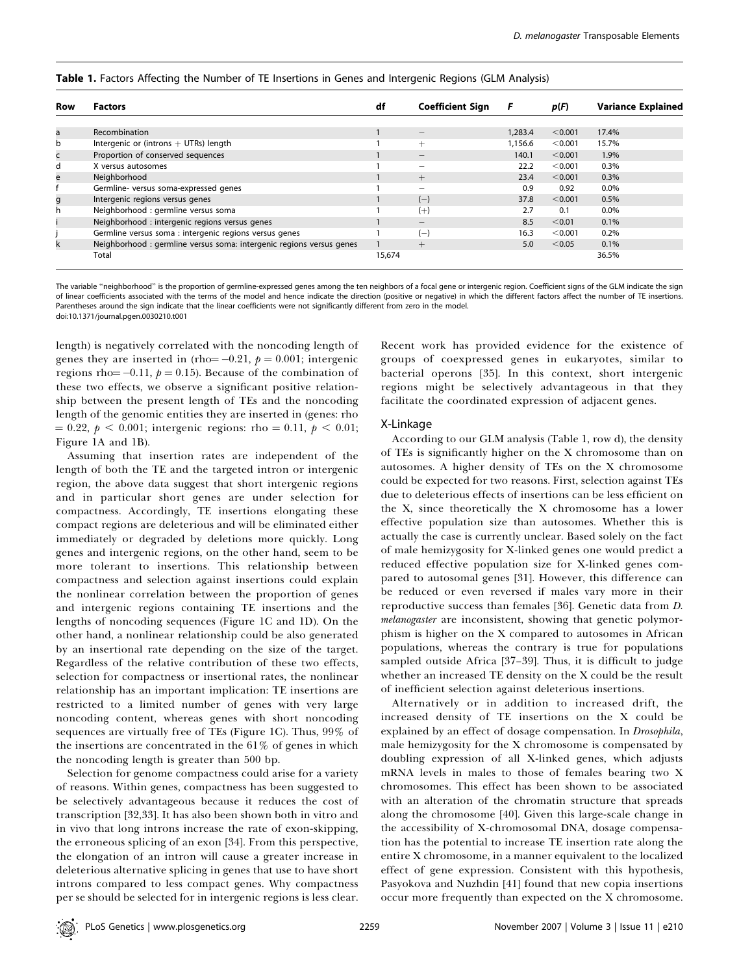| Row | <b>Factors</b>                                                       | df     | <b>Coefficient Sign</b> | F       | p(F)    | <b>Variance Explained</b> |
|-----|----------------------------------------------------------------------|--------|-------------------------|---------|---------|---------------------------|
|     |                                                                      |        |                         |         |         |                           |
| a   | Recombination                                                        |        | $\qquad \qquad -$       | 1,283.4 | < 0.001 | 17.4%                     |
| b   | Intergenic or (introns $+$ UTRs) length                              |        | $+$                     | 1.156.6 | < 0.001 | 15.7%                     |
| C   | Proportion of conserved sequences                                    |        |                         | 140.1   | < 0.001 | 1.9%                      |
| d   | X versus autosomes                                                   |        | -                       | 22.2    | < 0.001 | 0.3%                      |
| e   | Neighborhood                                                         |        | $+$                     | 23.4    | < 0.001 | 0.3%                      |
|     | Germline- versus soma-expressed genes                                |        |                         | 0.9     | 0.92    | 0.0%                      |
| g   | Intergenic regions versus genes                                      |        | $(-)$                   | 37.8    | < 0.001 | 0.5%                      |
| h   | Neighborhood : germline versus soma                                  |        | $(+)$                   | 2.7     | 0.1     | 0.0%                      |
|     | Neighborhood: intergenic regions versus genes                        |        | $\qquad \qquad -$       | 8.5     | < 0.01  | 0.1%                      |
|     | Germline versus soma : intergenic regions versus genes               |        | $(-$                    | 16.3    | < 0.001 | 0.2%                      |
| k   | Neighborhood : germline versus soma: intergenic regions versus genes |        | $+$                     | 5.0     | < 0.05  | 0.1%                      |
|     | Total                                                                | 15,674 |                         |         |         | 36.5%                     |

## Table 1. Factors Affecting the Number of TE Insertions in Genes and Intergenic Regions (GLM Analysis)

The variable "neighborhood" is the proportion of germline-expressed genes among the ten neighbors of a focal gene or intergenic region. Coefficient signs of the GLM indicate the sign of linear coefficients associated with the terms of the model and hence indicate the direction (positive or negative) in which the different factors affect the number of TE insertions. Parentheses around the sign indicate that the linear coefficients were not significantly different from zero in the model. doi:10.1371/journal.pgen.0030210.t001

length) is negatively correlated with the noncoding length of genes they are inserted in (rho=  $-0.21$ ,  $p = 0.001$ ; intergenic regions rho= -0.11,  $p = 0.15$ ). Because of the combination of these two effects, we observe a significant positive relationship between the present length of TEs and the noncoding length of the genomic entities they are inserted in (genes: rho  $= 0.22, p < 0.001$ ; intergenic regions: rho  $= 0.11, p < 0.01$ ; Figure 1A and 1B).

Assuming that insertion rates are independent of the length of both the TE and the targeted intron or intergenic region, the above data suggest that short intergenic regions and in particular short genes are under selection for compactness. Accordingly, TE insertions elongating these compact regions are deleterious and will be eliminated either immediately or degraded by deletions more quickly. Long genes and intergenic regions, on the other hand, seem to be more tolerant to insertions. This relationship between compactness and selection against insertions could explain the nonlinear correlation between the proportion of genes and intergenic regions containing TE insertions and the lengths of noncoding sequences (Figure 1C and 1D). On the other hand, a nonlinear relationship could be also generated by an insertional rate depending on the size of the target. Regardless of the relative contribution of these two effects, selection for compactness or insertional rates, the nonlinear relationship has an important implication: TE insertions are restricted to a limited number of genes with very large noncoding content, whereas genes with short noncoding sequences are virtually free of TEs (Figure 1C). Thus, 99% of the insertions are concentrated in the 61% of genes in which the noncoding length is greater than 500 bp.

Selection for genome compactness could arise for a variety of reasons. Within genes, compactness has been suggested to be selectively advantageous because it reduces the cost of transcription [32,33]. It has also been shown both in vitro and in vivo that long introns increase the rate of exon-skipping, the erroneous splicing of an exon [34]. From this perspective, the elongation of an intron will cause a greater increase in deleterious alternative splicing in genes that use to have short introns compared to less compact genes. Why compactness per se should be selected for in intergenic regions is less clear. Recent work has provided evidence for the existence of groups of coexpressed genes in eukaryotes, similar to bacterial operons [35]. In this context, short intergenic regions might be selectively advantageous in that they facilitate the coordinated expression of adjacent genes.

## X-Linkage

According to our GLM analysis (Table 1, row d), the density of TEs is significantly higher on the X chromosome than on autosomes. A higher density of TEs on the X chromosome could be expected for two reasons. First, selection against TEs due to deleterious effects of insertions can be less efficient on the X, since theoretically the X chromosome has a lower effective population size than autosomes. Whether this is actually the case is currently unclear. Based solely on the fact of male hemizygosity for X-linked genes one would predict a reduced effective population size for X-linked genes compared to autosomal genes [31]. However, this difference can be reduced or even reversed if males vary more in their reproductive success than females [36]. Genetic data from D. melanogaster are inconsistent, showing that genetic polymorphism is higher on the X compared to autosomes in African populations, whereas the contrary is true for populations sampled outside Africa [37–39]. Thus, it is difficult to judge whether an increased TE density on the X could be the result of inefficient selection against deleterious insertions.

Alternatively or in addition to increased drift, the increased density of TE insertions on the X could be explained by an effect of dosage compensation. In Drosophila, male hemizygosity for the X chromosome is compensated by doubling expression of all X-linked genes, which adjusts mRNA levels in males to those of females bearing two X chromosomes. This effect has been shown to be associated with an alteration of the chromatin structure that spreads along the chromosome [40]. Given this large-scale change in the accessibility of X-chromosomal DNA, dosage compensation has the potential to increase TE insertion rate along the entire X chromosome, in a manner equivalent to the localized effect of gene expression. Consistent with this hypothesis, Pasyokova and Nuzhdin [41] found that new copia insertions occur more frequently than expected on the X chromosome.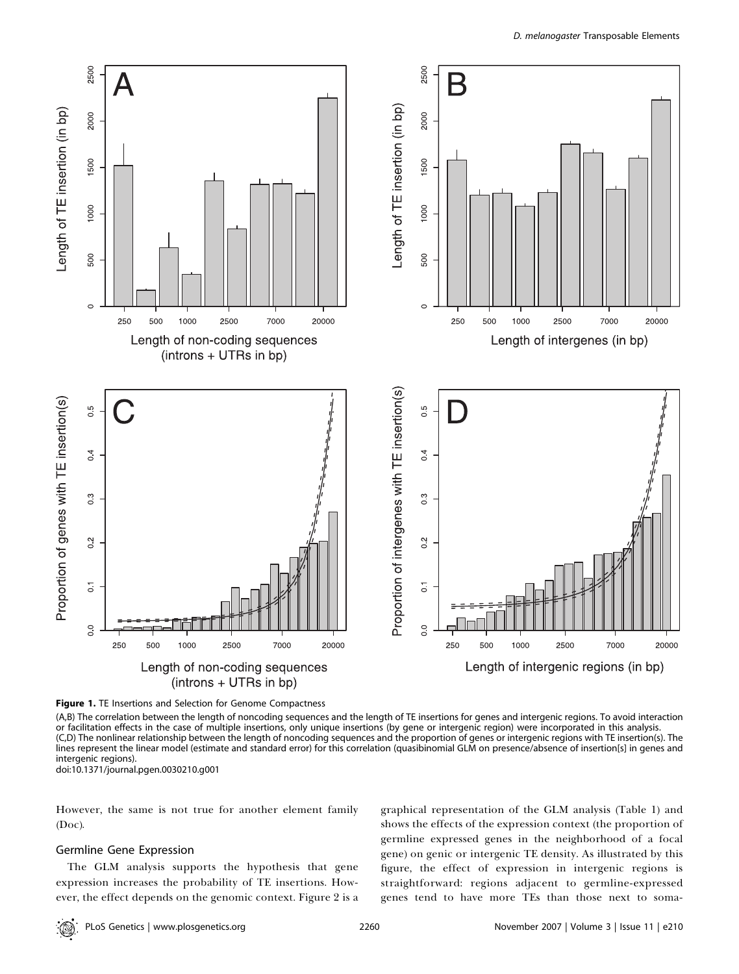



(A,B) The correlation between the length of noncoding sequences and the length of TE insertions for genes and intergenic regions. To avoid interaction or facilitation effects in the case of multiple insertions, only unique insertions (by gene or intergenic region) were incorporated in this analysis. (C,D) The nonlinear relationship between the length of noncoding sequences and the proportion of genes or intergenic regions with TE insertion(s). The lines represent the linear model (estimate and standard error) for this correlation (quasibinomial GLM on presence/absence of insertion[s] in genes and intergenic regions).

doi:10.1371/journal.pgen.0030210.g001

However, the same is not true for another element family (Doc).

# Germline Gene Expression

The GLM analysis supports the hypothesis that gene expression increases the probability of TE insertions. However, the effect depends on the genomic context. Figure 2 is a graphical representation of the GLM analysis (Table 1) and shows the effects of the expression context (the proportion of germline expressed genes in the neighborhood of a focal gene) on genic or intergenic TE density. As illustrated by this figure, the effect of expression in intergenic regions is straightforward: regions adjacent to germline-expressed genes tend to have more TEs than those next to soma-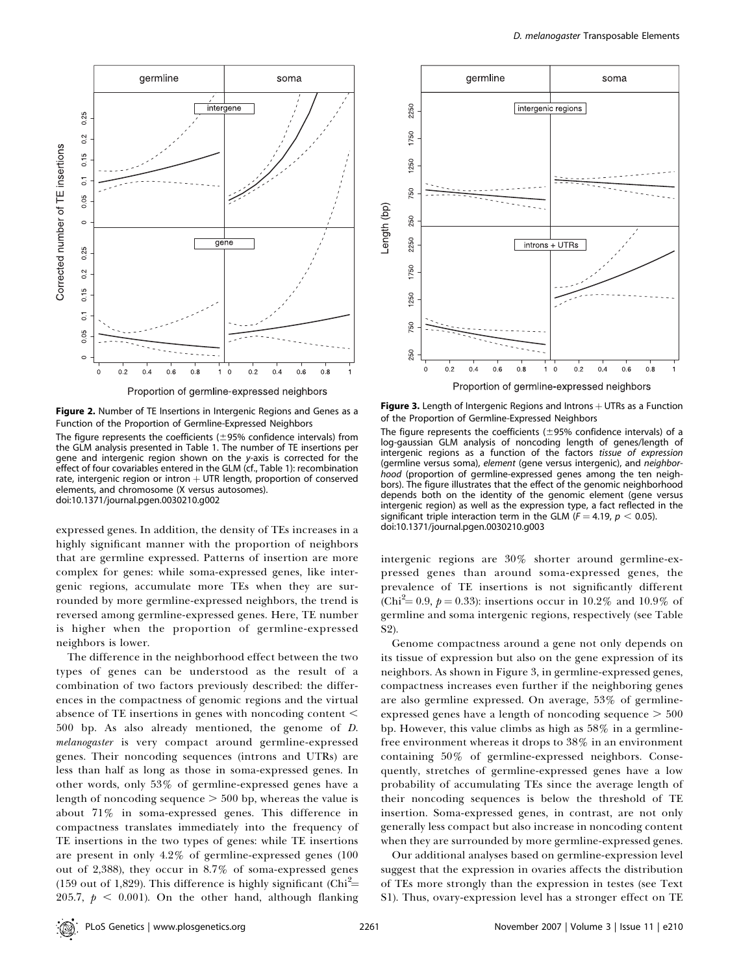

Figure 2. Number of TE Insertions in Intergenic Regions and Genes as a Function of the Proportion of Germline-Expressed Neighbors

The figure represents the coefficients ( $\pm$ 95% confidence intervals) from the GLM analysis presented in Table 1. The number of TE insertions per gene and intergenic region shown on the y-axis is corrected for the effect of four covariables entered in the GLM (cf., Table 1): recombination rate, intergenic region or intron  $+$  UTR length, proportion of conserved elements, and chromosome (X versus autosomes). doi:10.1371/journal.pgen.0030210.g002

expressed genes. In addition, the density of TEs increases in a highly significant manner with the proportion of neighbors that are germline expressed. Patterns of insertion are more complex for genes: while soma-expressed genes, like intergenic regions, accumulate more TEs when they are surrounded by more germline-expressed neighbors, the trend is reversed among germline-expressed genes. Here, TE number is higher when the proportion of germline-expressed neighbors is lower.

The difference in the neighborhood effect between the two types of genes can be understood as the result of a combination of two factors previously described: the differences in the compactness of genomic regions and the virtual absence of TE insertions in genes with noncoding content  $\leq$ 500 bp. As also already mentioned, the genome of D. melanogaster is very compact around germline-expressed genes. Their noncoding sequences (introns and UTRs) are less than half as long as those in soma-expressed genes. In other words, only 53% of germline-expressed genes have a length of noncoding sequence  $> 500$  bp, whereas the value is about 71% in soma-expressed genes. This difference in compactness translates immediately into the frequency of TE insertions in the two types of genes: while TE insertions are present in only 4.2% of germline-expressed genes (100 out of 2,388), they occur in 8.7% of soma-expressed genes (159 out of 1,829). This difference is highly significant (Chi<sup>2</sup>= 205.7,  $p < 0.001$ ). On the other hand, although flanking



Figure 3. Length of Intergenic Regions and Introns  $+$  UTRs as a Function of the Proportion of Germline-Expressed Neighbors

The figure represents the coefficients ( $\pm$ 95% confidence intervals) of a log-gaussian GLM analysis of noncoding length of genes/length of intergenic regions as a function of the factors tissue of expression (germline versus soma), element (gene versus intergenic), and neighborhood (proportion of germline-expressed genes among the ten neighbors). The figure illustrates that the effect of the genomic neighborhood depends both on the identity of the genomic element (gene versus intergenic region) as well as the expression type, a fact reflected in the significant triple interaction term in the GLM ( $F = 4.19$ ,  $p < 0.05$ ). doi:10.1371/journal.pgen.0030210.g003

intergenic regions are 30% shorter around germline-expressed genes than around soma-expressed genes, the prevalence of TE insertions is not significantly different (Chi<sup>2</sup> = 0.9,  $p = 0.33$ ): insertions occur in 10.2% and 10.9% of germline and soma intergenic regions, respectively (see Table S2).

Genome compactness around a gene not only depends on its tissue of expression but also on the gene expression of its neighbors. As shown in Figure 3, in germline-expressed genes, compactness increases even further if the neighboring genes are also germline expressed. On average, 53% of germlineexpressed genes have a length of noncoding sequence  $> 500$ bp. However, this value climbs as high as 58% in a germlinefree environment whereas it drops to 38% in an environment containing 50% of germline-expressed neighbors. Consequently, stretches of germline-expressed genes have a low probability of accumulating TEs since the average length of their noncoding sequences is below the threshold of TE insertion. Soma-expressed genes, in contrast, are not only generally less compact but also increase in noncoding content when they are surrounded by more germline-expressed genes.

Our additional analyses based on germline-expression level suggest that the expression in ovaries affects the distribution of TEs more strongly than the expression in testes (see Text S1). Thus, ovary-expression level has a stronger effect on TE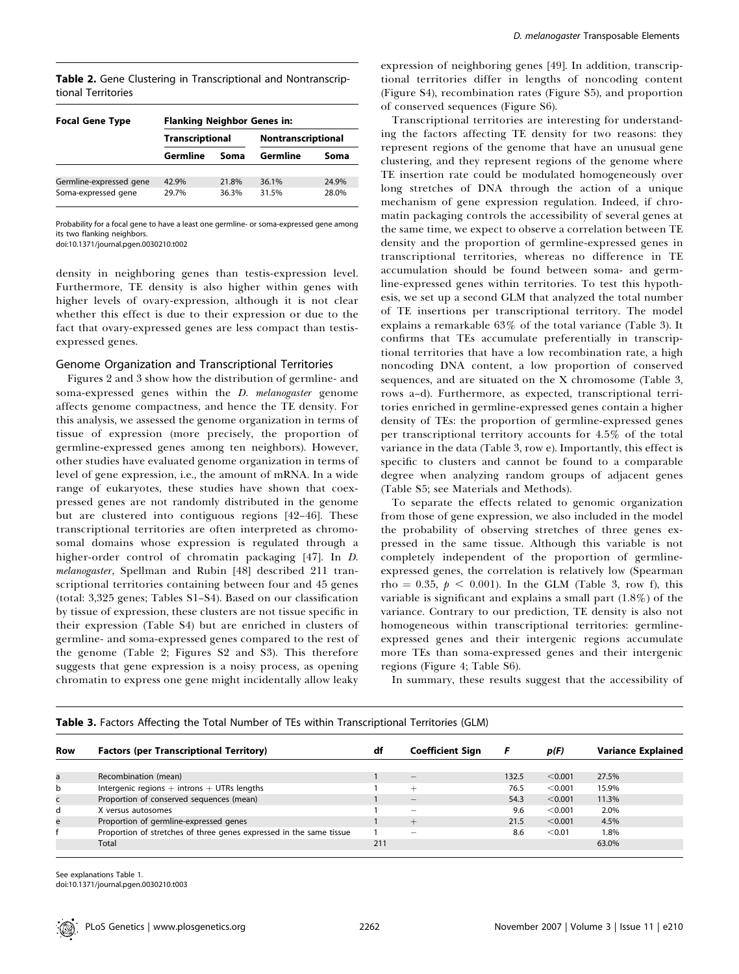| <b>Focal Gene Type</b>  | <b>Flanking Neighbor Genes in:</b> |       |                           |       |  |  |  |
|-------------------------|------------------------------------|-------|---------------------------|-------|--|--|--|
|                         | <b>Transcriptional</b>             |       | <b>Nontranscriptional</b> |       |  |  |  |
|                         | Germline                           | Soma  | Germline                  | Soma  |  |  |  |
| Germline-expressed gene | 42.9%                              | 21.8% | 36.1%                     | 24.9% |  |  |  |
| Soma-expressed gene     | 29.7%                              | 36.3% | 31.5%                     | 28.0% |  |  |  |

Table 2. Gene Clustering in Transcriptional and Nontranscriptional Territories

Probability for a focal gene to have a least one germline- or soma-expressed gene among its two flanking neighbors.

doi:10.1371/journal.pgen.0030210.t002

density in neighboring genes than testis-expression level. Furthermore, TE density is also higher within genes with higher levels of ovary-expression, although it is not clear whether this effect is due to their expression or due to the fact that ovary-expressed genes are less compact than testisexpressed genes.

## Genome Organization and Transcriptional Territories

Figures 2 and 3 show how the distribution of germline- and soma-expressed genes within the D. melanogaster genome affects genome compactness, and hence the TE density. For this analysis, we assessed the genome organization in terms of tissue of expression (more precisely, the proportion of germline-expressed genes among ten neighbors). However, other studies have evaluated genome organization in terms of level of gene expression, i.e., the amount of mRNA. In a wide range of eukaryotes, these studies have shown that coexpressed genes are not randomly distributed in the genome but are clustered into contiguous regions [42–46]. These transcriptional territories are often interpreted as chromosomal domains whose expression is regulated through a higher-order control of chromatin packaging [47]. In D. melanogaster, Spellman and Rubin [48] described 211 transcriptional territories containing between four and 45 genes (total: 3,325 genes; Tables S1–S4). Based on our classification by tissue of expression, these clusters are not tissue specific in their expression (Table S4) but are enriched in clusters of germline- and soma-expressed genes compared to the rest of the genome (Table 2; Figures S2 and S3). This therefore suggests that gene expression is a noisy process, as opening chromatin to express one gene might incidentally allow leaky

expression of neighboring genes [49]. In addition, transcriptional territories differ in lengths of noncoding content (Figure S4), recombination rates (Figure S5), and proportion of conserved sequences (Figure S6).

Transcriptional territories are interesting for understanding the factors affecting TE density for two reasons: they represent regions of the genome that have an unusual gene clustering, and they represent regions of the genome where TE insertion rate could be modulated homogeneously over long stretches of DNA through the action of a unique mechanism of gene expression regulation. Indeed, if chromatin packaging controls the accessibility of several genes at the same time, we expect to observe a correlation between TE density and the proportion of germline-expressed genes in transcriptional territories, whereas no difference in TE accumulation should be found between soma- and germline-expressed genes within territories. To test this hypothesis, we set up a second GLM that analyzed the total number of TE insertions per transcriptional territory. The model explains a remarkable 63% of the total variance (Table 3). It confirms that TEs accumulate preferentially in transcriptional territories that have a low recombination rate, a high noncoding DNA content, a low proportion of conserved sequences, and are situated on the X chromosome (Table 3, rows a–d). Furthermore, as expected, transcriptional territories enriched in germline-expressed genes contain a higher density of TEs: the proportion of germline-expressed genes per transcriptional territory accounts for 4.5% of the total variance in the data (Table 3, row e). Importantly, this effect is specific to clusters and cannot be found to a comparable degree when analyzing random groups of adjacent genes (Table S5; see Materials and Methods).

To separate the effects related to genomic organization from those of gene expression, we also included in the model the probability of observing stretches of three genes expressed in the same tissue. Although this variable is not completely independent of the proportion of germlineexpressed genes, the correlation is relatively low (Spearman rho = 0.35,  $p \le 0.001$ ). In the GLM (Table 3, row f), this variable is significant and explains a small part (1.8%) of the variance. Contrary to our prediction, TE density is also not homogeneous within transcriptional territories: germlineexpressed genes and their intergenic regions accumulate more TEs than soma-expressed genes and their intergenic regions (Figure 4; Table S6).

In summary, these results suggest that the accessibility of

| <b>Row</b> | <b>Factors (per Transcriptional Territory)</b>                      | df  | <b>Coefficient Sign</b>  | F     | p(F)    | <b>Variance Explained</b> |
|------------|---------------------------------------------------------------------|-----|--------------------------|-------|---------|---------------------------|
|            |                                                                     |     |                          |       |         |                           |
| a          | Recombination (mean)                                                |     | $\overline{\phantom{m}}$ | 132.5 | < 0.001 | 27.5%                     |
| b          | Intergenic regions $+$ introns $+$ UTRs lengths                     |     | $\pm$                    | 76.5  | < 0.001 | 15.9%                     |
| C          | Proportion of conserved sequences (mean)                            |     | $\overline{\phantom{m}}$ | 54.3  | < 0.001 | 11.3%                     |
| d          | X versus autosomes                                                  |     | $\overline{\phantom{m}}$ | 9.6   | < 0.001 | 2.0%                      |
| e          | Proportion of germline-expressed genes                              |     | $^{+}$                   | 21.5  | < 0.001 | 4.5%                      |
|            | Proportion of stretches of three genes expressed in the same tissue |     |                          | 8.6   | < 0.01  | 1.8%                      |
|            | Total                                                               | 211 |                          |       |         | 63.0%                     |
|            |                                                                     |     |                          |       |         |                           |

Table 3. Factors Affecting the Total Number of TEs within Transcriptional Territories (GLM)

See explanations Table 1.

doi:10.1371/journal.pgen.0030210.t003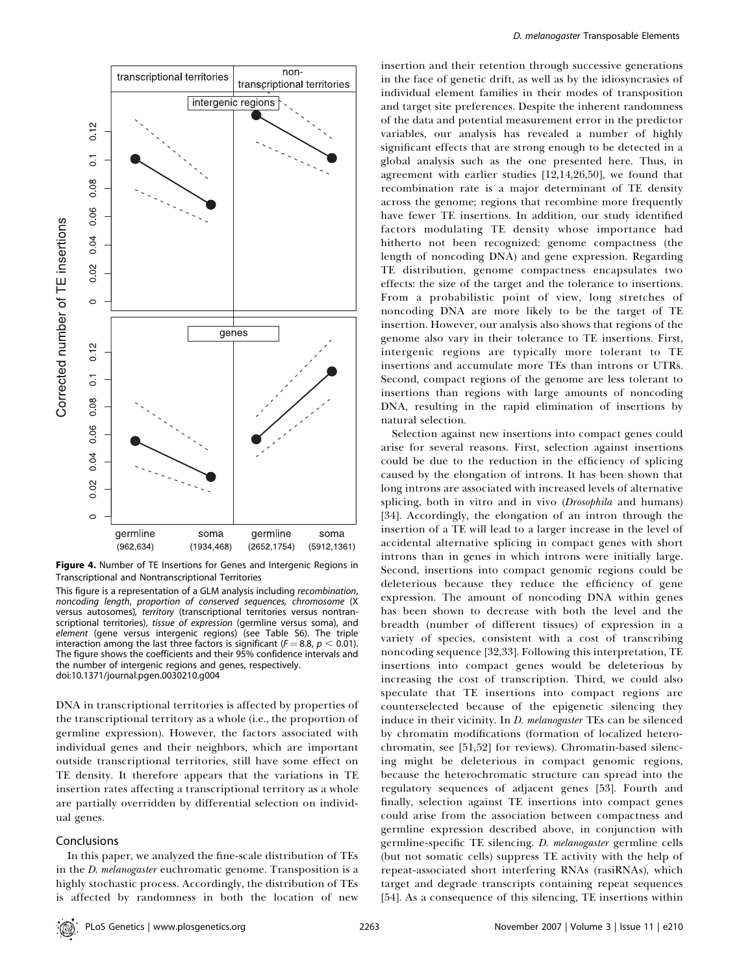

Figure 4. Number of TE Insertions for Genes and Intergenic Regions in Transcriptional and Nontranscriptional Territories

This figure is a representation of a GLM analysis including recombination, noncoding length, proportion of conserved sequences, chromosome (X versus autosomes), territory (transcriptional territories versus nontranscriptional territories), tissue of expression (germline versus soma), and element (gene versus intergenic regions) (see Table S6). The triple interaction among the last three factors is significant ( $F = 8.8$ ,  $p < 0.01$ ). The figure shows the coefficients and their 95% confidence intervals and the number of intergenic regions and genes, respectively. doi:10.1371/journal.pgen.0030210.g004

DNA in transcriptional territories is affected by properties of the transcriptional territory as a whole (i.e., the proportion of germline expression). However, the factors associated with individual genes and their neighbors, which are important outside transcriptional territories, still have some effect on TE density. It therefore appears that the variations in TE insertion rates affecting a transcriptional territory as a whole are partially overridden by differential selection on individual genes.

# Conclusions

In this paper, we analyzed the fine-scale distribution of TEs in the D. melanogaster euchromatic genome. Transposition is a highly stochastic process. Accordingly, the distribution of TEs is affected by randomness in both the location of new

insertion and their retention through successive generations in the face of genetic drift, as well as by the idiosyncrasies of individual element families in their modes of transposition and target site preferences. Despite the inherent randomness of the data and potential measurement error in the predictor variables, our analysis has revealed a number of highly significant effects that are strong enough to be detected in a global analysis such as the one presented here. Thus, in agreement with earlier studies [12,14,26,50], we found that recombination rate is a major determinant of TE density across the genome; regions that recombine more frequently have fewer TE insertions. In addition, our study identified factors modulating TE density whose importance had hitherto not been recognized: genome compactness (the length of noncoding DNA) and gene expression. Regarding TE distribution, genome compactness encapsulates two effects: the size of the target and the tolerance to insertions. From a probabilistic point of view, long stretches of noncoding DNA are more likely to be the target of TE insertion. However, our analysis also shows that regions of the genome also vary in their tolerance to TE insertions. First, intergenic regions are typically more tolerant to TE insertions and accumulate more TEs than introns or UTRs. Second, compact regions of the genome are less tolerant to insertions than regions with large amounts of noncoding DNA, resulting in the rapid elimination of insertions by natural selection.

Selection against new insertions into compact genes could arise for several reasons. First, selection against insertions could be due to the reduction in the efficiency of splicing caused by the elongation of introns. It has been shown that long introns are associated with increased levels of alternative splicing, both in vitro and in vivo (Drosophila and humans) [34]. Accordingly, the elongation of an intron through the insertion of a TE will lead to a larger increase in the level of accidental alternative splicing in compact genes with short introns than in genes in which introns were initially large. Second, insertions into compact genomic regions could be deleterious because they reduce the efficiency of gene expression. The amount of noncoding DNA within genes has been shown to decrease with both the level and the breadth (number of different tissues) of expression in a variety of species, consistent with a cost of transcribing noncoding sequence [32,33]. Following this interpretation, TE insertions into compact genes would be deleterious by increasing the cost of transcription. Third, we could also speculate that TE insertions into compact regions are counterselected because of the epigenetic silencing they induce in their vicinity. In *D. melanogaster* TEs can be silenced by chromatin modifications (formation of localized heterochromatin, see [51,52] for reviews). Chromatin-based silencing might be deleterious in compact genomic regions, because the heterochromatic structure can spread into the regulatory sequences of adjacent genes [53]. Fourth and finally, selection against TE insertions into compact genes could arise from the association between compactness and germline expression described above, in conjunction with germline-specific TE silencing. D. melanogaster germline cells (but not somatic cells) suppress TE activity with the help of repeat-associated short interfering RNAs (rasiRNAs), which target and degrade transcripts containing repeat sequences [54]. As a consequence of this silencing, TE insertions within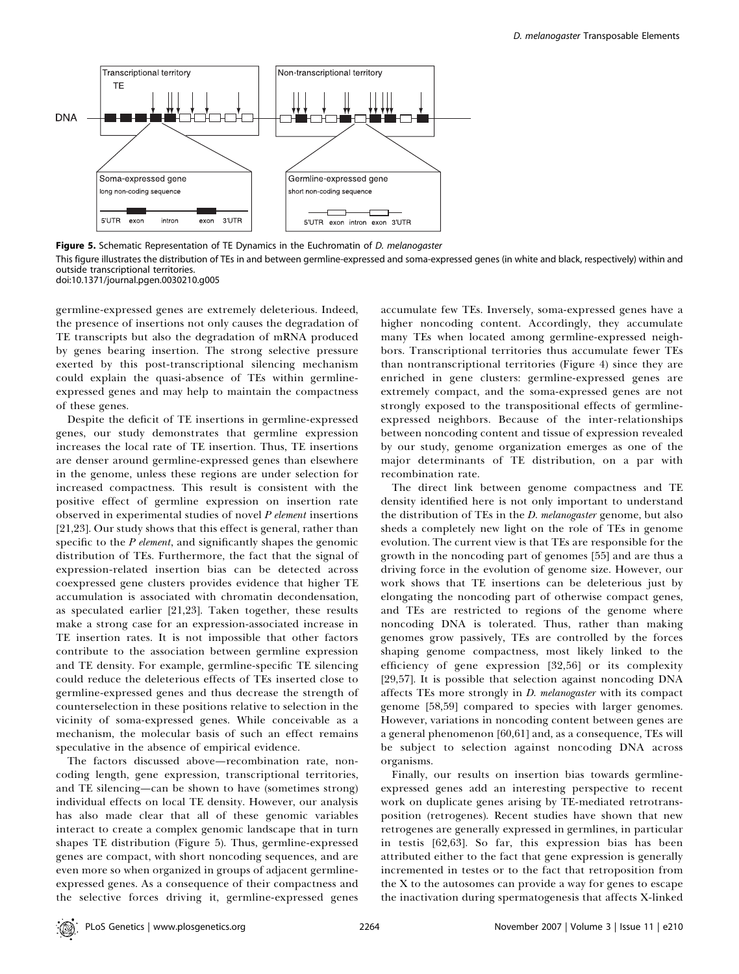

Figure 5. Schematic Representation of TE Dynamics in the Euchromatin of D. melanogaster This figure illustrates the distribution of TEs in and between germline-expressed and soma-expressed genes (in white and black, respectively) within and outside transcriptional territories. doi:10.1371/journal.pgen.0030210.g005

germline-expressed genes are extremely deleterious. Indeed, the presence of insertions not only causes the degradation of TE transcripts but also the degradation of mRNA produced by genes bearing insertion. The strong selective pressure exerted by this post-transcriptional silencing mechanism could explain the quasi-absence of TEs within germlineexpressed genes and may help to maintain the compactness of these genes.

Despite the deficit of TE insertions in germline-expressed genes, our study demonstrates that germline expression increases the local rate of TE insertion. Thus, TE insertions are denser around germline-expressed genes than elsewhere in the genome, unless these regions are under selection for increased compactness. This result is consistent with the positive effect of germline expression on insertion rate observed in experimental studies of novel P element insertions [21,23]. Our study shows that this effect is general, rather than specific to the  $P$  element, and significantly shapes the genomic distribution of TEs. Furthermore, the fact that the signal of expression-related insertion bias can be detected across coexpressed gene clusters provides evidence that higher TE accumulation is associated with chromatin decondensation, as speculated earlier [21,23]. Taken together, these results make a strong case for an expression-associated increase in TE insertion rates. It is not impossible that other factors contribute to the association between germline expression and TE density. For example, germline-specific TE silencing could reduce the deleterious effects of TEs inserted close to germline-expressed genes and thus decrease the strength of counterselection in these positions relative to selection in the vicinity of soma-expressed genes. While conceivable as a mechanism, the molecular basis of such an effect remains speculative in the absence of empirical evidence.

The factors discussed above—recombination rate, noncoding length, gene expression, transcriptional territories, and TE silencing—can be shown to have (sometimes strong) individual effects on local TE density. However, our analysis has also made clear that all of these genomic variables interact to create a complex genomic landscape that in turn shapes TE distribution (Figure 5). Thus, germline-expressed genes are compact, with short noncoding sequences, and are even more so when organized in groups of adjacent germlineexpressed genes. As a consequence of their compactness and the selective forces driving it, germline-expressed genes

accumulate few TEs. Inversely, soma-expressed genes have a higher noncoding content. Accordingly, they accumulate many TEs when located among germline-expressed neighbors. Transcriptional territories thus accumulate fewer TEs than nontranscriptional territories (Figure 4) since they are enriched in gene clusters: germline-expressed genes are extremely compact, and the soma-expressed genes are not strongly exposed to the transpositional effects of germlineexpressed neighbors. Because of the inter-relationships between noncoding content and tissue of expression revealed by our study, genome organization emerges as one of the major determinants of TE distribution, on a par with recombination rate.

The direct link between genome compactness and TE density identified here is not only important to understand the distribution of TEs in the *D. melanogaster* genome, but also sheds a completely new light on the role of TEs in genome evolution. The current view is that TEs are responsible for the growth in the noncoding part of genomes [55] and are thus a driving force in the evolution of genome size. However, our work shows that TE insertions can be deleterious just by elongating the noncoding part of otherwise compact genes, and TEs are restricted to regions of the genome where noncoding DNA is tolerated. Thus, rather than making genomes grow passively, TEs are controlled by the forces shaping genome compactness, most likely linked to the efficiency of gene expression [32,56] or its complexity [29,57]. It is possible that selection against noncoding DNA affects TEs more strongly in D. melanogaster with its compact genome [58,59] compared to species with larger genomes. However, variations in noncoding content between genes are a general phenomenon [60,61] and, as a consequence, TEs will be subject to selection against noncoding DNA across organisms.

Finally, our results on insertion bias towards germlineexpressed genes add an interesting perspective to recent work on duplicate genes arising by TE-mediated retrotransposition (retrogenes). Recent studies have shown that new retrogenes are generally expressed in germlines, in particular in testis [62,63]. So far, this expression bias has been attributed either to the fact that gene expression is generally incremented in testes or to the fact that retroposition from the X to the autosomes can provide a way for genes to escape the inactivation during spermatogenesis that affects X-linked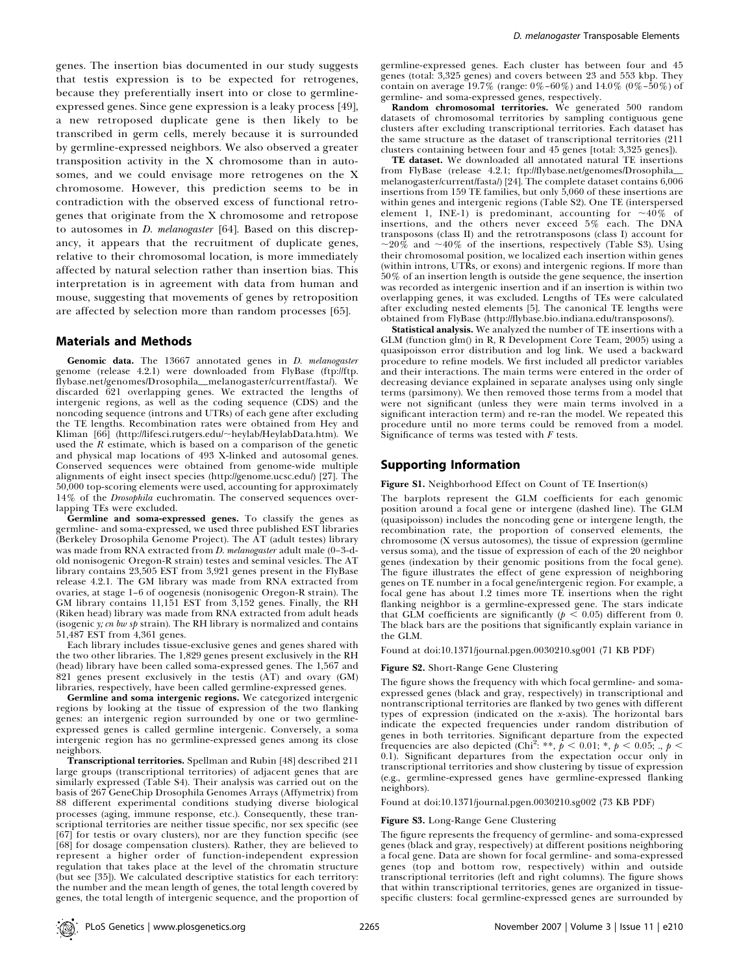genes. The insertion bias documented in our study suggests that testis expression is to be expected for retrogenes, because they preferentially insert into or close to germlineexpressed genes. Since gene expression is a leaky process [49], a new retroposed duplicate gene is then likely to be transcribed in germ cells, merely because it is surrounded by germline-expressed neighbors. We also observed a greater transposition activity in the X chromosome than in autosomes, and we could envisage more retrogenes on the X chromosome. However, this prediction seems to be in contradiction with the observed excess of functional retrogenes that originate from the X chromosome and retropose to autosomes in *D. melanogaster* [64]. Based on this discrepancy, it appears that the recruitment of duplicate genes, relative to their chromosomal location, is more immediately affected by natural selection rather than insertion bias. This interpretation is in agreement with data from human and mouse, suggesting that movements of genes by retroposition are affected by selection more than random processes [65].

## Materials and Methods

Genomic data. The 13667 annotated genes in D. melanogaster genome (release 4.2.1) were downloaded from FlyBase (ftp://ftp. flybase.net/genomes/Drosophila\_melanogaster/current/fasta/). We discarded 621 overlapping genes. We extracted the lengths of intergenic regions, as well as the coding sequence (CDS) and the noncoding sequence (introns and UTRs) of each gene after excluding the TE lengths. Recombination rates were obtained from Hey and Kliman [66] (http://lifesci.rutgers.edu/~heylab/HeylabData.htm). We used the  $R$  estimate, which is based on a comparison of the genetic and physical map locations of 493 X-linked and autosomal genes. Conserved sequences were obtained from genome-wide multiple alignments of eight insect species (http://genome.ucsc.edu/) [27]. The 50,000 top-scoring elements were used, accounting for approximately 14% of the Drosophila euchromatin. The conserved sequences overlapping TEs were excluded.

Germline and soma-expressed genes. To classify the genes as germline- and soma-expressed, we used three published EST libraries (Berkeley Drosophila Genome Project). The AT (adult testes) library was made from RNA extracted from *D. melanogaster* adult male (0-3-dold nonisogenic Oregon-R strain) testes and seminal vesicles. The AT library contains 23,505 EST from 3,921 genes present in the FlyBase release 4.2.1. The GM library was made from RNA extracted from ovaries, at stage 1–6 of oogenesis (nonisogenic Oregon-R strain). The GM library contains 11,151 EST from 3,152 genes. Finally, the RH (Riken head) library was made from RNA extracted from adult heads (isogenic y;  $cn$  bw sp strain). The RH library is normalized and contains 51,487 EST from 4,361 genes.

Each library includes tissue-exclusive genes and genes shared with the two other libraries. The 1,829 genes present exclusively in the RH (head) library have been called soma-expressed genes. The 1,567 and 821 genes present exclusively in the testis (AT) and ovary (GM) libraries, respectively, have been called germline-expressed genes.

Germline and soma intergenic regions. We categorized intergenic regions by looking at the tissue of expression of the two flanking genes: an intergenic region surrounded by one or two germlineexpressed genes is called germline intergenic. Conversely, a soma intergenic region has no germline-expressed genes among its close neighbors.

Transcriptional territories. Spellman and Rubin [48] described 211 large groups (transcriptional territories) of adjacent genes that are similarly expressed (Table S4). Their analysis was carried out on the basis of 267 GeneChip Drosophila Genomes Arrays (Affymetrix) from 88 different experimental conditions studying diverse biological processes (aging, immune response, etc.). Consequently, these transcriptional territories are neither tissue specific, nor sex specific (see [67] for testis or ovary clusters), nor are they function specific (see [68] for dosage compensation clusters). Rather, they are believed to represent a higher order of function-independent expression regulation that takes place at the level of the chromatin structure (but see [35]). We calculated descriptive statistics for each territory: the number and the mean length of genes, the total length covered by genes, the total length of intergenic sequence, and the proportion of germline-expressed genes. Each cluster has between four and 45 genes (total: 3,325 genes) and covers between 23 and 553 kbp. They contain on average 19.7% (range:  $0\% - 60\%$ ) and  $14.0\%$  ( $0\% - 50\%$ ) of germline- and soma-expressed genes, respectively.

Random chromosomal territories. We generated 500 random datasets of chromosomal territories by sampling contiguous gene clusters after excluding transcriptional territories. Each dataset has the same structure as the dataset of transcriptional territories (211 clusters containing between four and 45 genes [total: 3,325 genes]).

TE dataset. We downloaded all annotated natural TE insertions from FlyBase (release 4.2.1; ftp://flybase.net/genomes/Drosophila\_ melanogaster/current/fasta/) [24]. The complete dataset contains 6,006 insertions from 159 TE families, but only 5,060 of these insertions are within genes and intergenic regions (Table S2). One TE (interspersed element 1, INE-1) is predominant, accounting for  $\sim 40\%$  of insertions, and the others never exceed 5% each. The DNA transposons (class II) and the retrotransposons (class I) account for  ${\sim}20\%$  and  ${\sim}40\%$  of the insertions, respectively (Table S3). Using their chromosomal position, we localized each insertion within genes (within introns, UTRs, or exons) and intergenic regions. If more than 50% of an insertion length is outside the gene sequence, the insertion was recorded as intergenic insertion and if an insertion is within two overlapping genes, it was excluded. Lengths of TEs were calculated after excluding nested elements [5]. The canonical TE lengths were obtained from FlyBase (http://flybase.bio.indiana.edu/transposons/).

Statistical analysis. We analyzed the number of TE insertions with a GLM (function glm() in R, R Development Core Team, 2005) using a quasipoisson error distribution and log link. We used a backward procedure to refine models. We first included all predictor variables and their interactions. The main terms were entered in the order of decreasing deviance explained in separate analyses using only single terms (parsimony). We then removed those terms from a model that were not significant (unless they were main terms involved in a significant interaction term) and re-ran the model. We repeated this procedure until no more terms could be removed from a model. Significance of terms was tested with  $F$  tests.

## Supporting Information

Figure S1. Neighborhood Effect on Count of TE Insertion(s)

The barplots represent the GLM coefficients for each genomic position around a focal gene or intergene (dashed line). The GLM (quasipoisson) includes the noncoding gene or intergene length, the recombination rate, the proportion of conserved elements, the chromosome (X versus autosomes), the tissue of expression (germline versus soma), and the tissue of expression of each of the 20 neighbor genes (indexation by their genomic positions from the focal gene). The figure illustrates the effect of gene expression of neighboring genes on TE number in a focal gene/intergenic region. For example, a focal gene has about 1.2 times more TE insertions when the right flanking neighbor is a germline-expressed gene. The stars indicate that GLM coefficients are significantly ( $p < 0.05$ ) different from 0. The black bars are the positions that significantly explain variance in the GLM.

Found at doi:10.1371/journal.pgen.0030210.sg001 (71 KB PDF)

#### Figure S2. Short-Range Gene Clustering

The figure shows the frequency with which focal germline- and somaexpressed genes (black and gray, respectively) in transcriptional and nontranscriptional territories are flanked by two genes with different types of expression (indicated on the x-axis). The horizontal bars indicate the expected frequencies under random distribution of genes in both territories. Significant departure from the expected frequencies are also depicted (Chi $^2$ : \*\*,  $p^{'}$   $<$  0.01; \*,  $p$   $<$  0.05; .,  $p$   $<$ 0.1). Significant departures from the expectation occur only in transcriptional territories and show clustering by tissue of expression (e.g., germline-expressed genes have germline-expressed flanking neighbors).

Found at doi:10.1371/journal.pgen.0030210.sg002 (73 KB PDF)

#### Figure S3. Long-Range Gene Clustering

The figure represents the frequency of germline- and soma-expressed genes (black and gray, respectively) at different positions neighboring a focal gene. Data are shown for focal germline- and soma-expressed genes (top and bottom row, respectively) within and outside transcriptional territories (left and right columns). The figure shows that within transcriptional territories, genes are organized in tissuespecific clusters: focal germline-expressed genes are surrounded by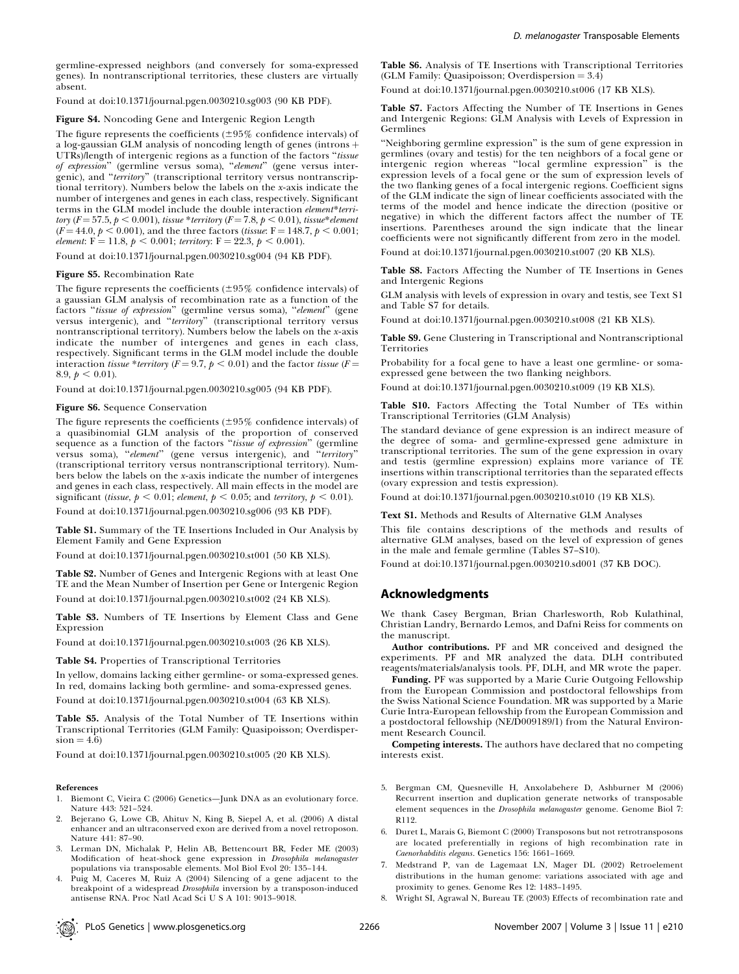germline-expressed neighbors (and conversely for soma-expressed genes). In nontranscriptional territories, these clusters are virtually absent.

Found at doi:10.1371/journal.pgen.0030210.sg003 (90 KB PDF).

Figure S4. Noncoding Gene and Intergenic Region Length

The figure represents the coefficients ( $\pm 95\%$  confidence intervals) of a log-gaussian GLM analysis of noncoding length of genes (introns + UTRs)/length of intergenic regions as a function of the factors "tissue of expression" (germline versus soma), "element" (gene versus intergenic), and "territory" (transcriptional territory versus nontranscriptional territory). Numbers below the labels on the x-axis indicate the number of intergenes and genes in each class, respectively. Significant terms in the GLM model include the double interaction element\*territory ( $F = 57.5, p < 0.001$ ), tissue \*territory ( $F = 7.8, p < 0.01$ ), tissue \*element  $(F = 44.0, p \le 0.001)$ , and the three factors (*tissue*: F = 148.7,  $p \le 0.001$ ; element: F = 11.8,  $p < 0.001$ ; territory: F = 22.3,  $p < 0.001$ ).

Found at doi:10.1371/journal.pgen.0030210.sg004 (94 KB PDF).

#### Figure S5. Recombination Rate

The figure represents the coefficients  $(\pm 95\%$  confidence intervals) of a gaussian GLM analysis of recombination rate as a function of the factors "tissue of expression" (germline versus soma), "element" (gene versus intergenic), and "territory" (transcriptional territory versus nontranscriptional territory). Numbers below the labels on the x-axis indicate the number of intergenes and genes in each class, respectively. Significant terms in the GLM model include the double interaction tissue \*territory ( $F = 9.7$ ,  $p < 0.01$ ) and the factor tissue ( $F =$ 8.9,  $p < 0.01$ ).

Found at doi:10.1371/journal.pgen.0030210.sg005 (94 KB PDF).

#### Figure S6. Sequence Conservation

The figure represents the coefficients  $(\pm 95\%$  confidence intervals) of a quasibinomial GLM analysis of the proportion of conserved sequence as a function of the factors "tissue of expression" (germline versus soma), "element" (gene versus intergenic), and "territory" (transcriptional territory versus nontranscriptional territory). Numbers below the labels on the x-axis indicate the number of intergenes and genes in each class, respectively. All main effects in the model are significant (tissue,  $p < 0.01$ ; element,  $p < 0.05$ ; and territory,  $p < 0.01$ ).

Found at doi:10.1371/journal.pgen.0030210.sg006 (93 KB PDF).

Table S1. Summary of the TE Insertions Included in Our Analysis by Element Family and Gene Expression

Found at doi:10.1371/journal.pgen.0030210.st001 (50 KB XLS).

Table S2. Number of Genes and Intergenic Regions with at least One TE and the Mean Number of Insertion per Gene or Intergenic Region Found at doi:10.1371/journal.pgen.0030210.st002 (24 KB XLS).

Table S3. Numbers of TE Insertions by Element Class and Gene Expression

Found at doi:10.1371/journal.pgen.0030210.st003 (26 KB XLS).

Table S4. Properties of Transcriptional Territories

In yellow, domains lacking either germline- or soma-expressed genes. In red, domains lacking both germline- and soma-expressed genes. Found at doi:10.1371/journal.pgen.0030210.st004 (63 KB XLS).

Table S5. Analysis of the Total Number of TE Insertions within Transcriptional Territories (GLM Family: Quasipoisson; Overdisper $sion = 4.6$ 

Found at doi:10.1371/journal.pgen.0030210.st005 (20 KB XLS).

#### References

- 1. Biemont C, Vieira C (2006) Genetics—Junk DNA as an evolutionary force. Nature 443: 521–524.
- 2. Bejerano G, Lowe CB, Ahituv N, King B, Siepel A, et al. (2006) A distal enhancer and an ultraconserved exon are derived from a novel retroposon. Nature 441: 87–90.
- 3. Lerman DN, Michalak P, Helin AB, Bettencourt BR, Feder ME (2003) Modification of heat-shock gene expression in Drosophila melanogaster populations via transposable elements. Mol Biol Evol 20: 135–144.
- Puig M, Caceres M, Ruiz A (2004) Silencing of a gene adjacent to the breakpoint of a widespread Drosophila inversion by a transposon-induced antisense RNA. Proc Natl Acad Sci U S A 101: 9013–9018.

Table S6. Analysis of TE Insertions with Transcriptional Territories (GLM Family: Quasipoisson; Overdispersion  $= 3.4$ )

Found at doi:10.1371/journal.pgen.0030210.st006 (17 KB XLS).

Table S7. Factors Affecting the Number of TE Insertions in Genes and Intergenic Regions: GLM Analysis with Levels of Expression in Germlines

''Neighboring germline expression'' is the sum of gene expression in germlines (ovary and testis) for the ten neighbors of a focal gene or intergenic region whereas ''local germline expression'' is the expression levels of a focal gene or the sum of expression levels of the two flanking genes of a focal intergenic regions. Coefficient signs of the GLM indicate the sign of linear coefficients associated with the terms of the model and hence indicate the direction (positive or negative) in which the different factors affect the number of TE insertions. Parentheses around the sign indicate that the linear coefficients were not significantly different from zero in the model.

Found at doi:10.1371/journal.pgen.0030210.st007 (20 KB XLS).

Table S8. Factors Affecting the Number of TE Insertions in Genes and Intergenic Regions

GLM analysis with levels of expression in ovary and testis, see Text S1 and Table S7 for details.

Found at doi:10.1371/journal.pgen.0030210.st008 (21 KB XLS).

Table S9. Gene Clustering in Transcriptional and Nontranscriptional Territories

Probability for a focal gene to have a least one germline- or somaexpressed gene between the two flanking neighbors.

Found at doi:10.1371/journal.pgen.0030210.st009 (19 KB XLS).

Table S10. Factors Affecting the Total Number of TEs within Transcriptional Territories (GLM Analysis)

The standard deviance of gene expression is an indirect measure of the degree of soma- and germline-expressed gene admixture in transcriptional territories. The sum of the gene expression in ovary and testis (germline expression) explains more variance of TE insertions within transcriptional territories than the separated effects (ovary expression and testis expression).

Found at doi:10.1371/journal.pgen.0030210.st010 (19 KB XLS).

Text S1. Methods and Results of Alternative GLM Analyses

This file contains descriptions of the methods and results of alternative GLM analyses, based on the level of expression of genes in the male and female germline (Tables S7–S10).

Found at doi:10.1371/journal.pgen.0030210.sd001 (37 KB DOC).

## Acknowledgments

We thank Casey Bergman, Brian Charlesworth, Rob Kulathinal, Christian Landry, Bernardo Lemos, and Dafni Reiss for comments on the manuscript.

Author contributions. PF and MR conceived and designed the experiments. PF and MR analyzed the data. DLH contributed reagents/materials/analysis tools. PF, DLH, and MR wrote the paper.

Funding. PF was supported by a Marie Curie Outgoing Fellowship from the European Commission and postdoctoral fellowships from the Swiss National Science Foundation. MR was supported by a Marie Curie Intra-European fellowship from the European Commission and a postdoctoral fellowship (NE/D009189/1) from the Natural Environment Research Council.

Competing interests. The authors have declared that no competing interests exist.

- 5. Bergman CM, Quesneville H, Anxolabehere D, Ashburner M (2006) Recurrent insertion and duplication generate networks of transposable element sequences in the Drosophila melanogaster genome. Genome Biol 7: R112.
- 6. Duret L, Marais G, Biemont C (2000) Transposons but not retrotransposons are located preferentially in regions of high recombination rate in Caenorhabditis elegans. Genetics 156: 1661–1669.
- 7. Medstrand P, van de Lagemaat LN, Mager DL (2002) Retroelement distributions in the human genome: variations associated with age and proximity to genes. Genome Res 12: 1483–1495.
- 8. Wright SI, Agrawal N, Bureau TE (2003) Effects of recombination rate and